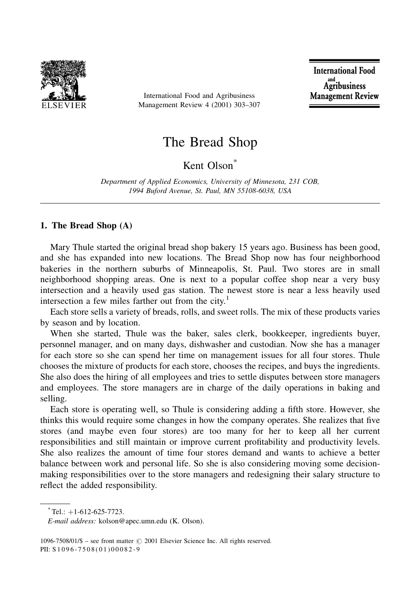

International Food and Agribusiness Management Review 4 (2001) 303-307

**International Food** and<br>Agribusiness **Management Review** 

# The Bread Shop

## Kent Olson<sup>®</sup>

Department of Applied Economics, University of Minnesota, 231 COB, 1994 Buford Avenue, St. Paul, MN 55108-6038, USA

#### 1. The Bread Shop (A)

Mary Thule started the original bread shop bakery 15 years ago. Business has been good, and she has expanded into new locations. The Bread Shop now has four neighborhood bakeries in the northern suburbs of Minneapolis, St. Paul. Two stores are in small neighborhood shopping areas. One is next to a popular coffee shop near a very busy intersection and a heavily used gas station. The newest store is near a less heavily used intersection a few miles farther out from the city.<sup>1</sup>

Each store sells a variety of breads, rolls, and sweet rolls. The mix of these products varies by season and by location.

When she started, Thule was the baker, sales clerk, bookkeeper, ingredients buyer, personnel manager, and on many days, dishwasher and custodian. Now she has a manager for each store so she can spend her time on management issues for all four stores. Thule chooses the mixture of products for each store, chooses the recipes, and buys the ingredients. She also does the hiring of all employees and tries to settle disputes between store managers and employees. The store managers are in charge of the daily operations in baking and selling.

Each store is operating well, so Thule is considering adding a fifth store. However, she thinks this would require some changes in how the company operates. She realizes that five stores (and maybe even four stores) are too many for her to keep all her current responsibilities and still maintain or improve current profitability and productivity levels. She also realizes the amount of time four stores demand and wants to achieve a better balance between work and personal life. So she is also considering moving some decisionmaking responsibilities over to the store managers and redesigning their salary structure to reflect the added responsibility.

 $^*$ Tel.: +1-612-625-7723.

E-mail address: kolson@apec.umn.edu (K. Olson).

<sup>1096-7508/01/\$ -</sup> see front matter © 2001 Elsevier Science Inc. All rights reserved. PII: S1096-7508(01)00082-9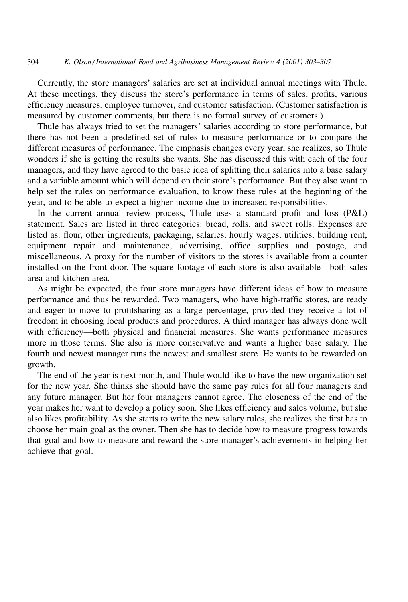304 K. Olson/International Food and Agribusiness Management Review 4 (2001) 303-307

Currently, the store managers' salaries are set at individual annual meetings with Thule. At these meetings, they discuss the store's performance in terms of sales, profits, various efficiency measures, employee turnover, and customer satisfaction. (Customer satisfaction is measured by customer comments, but there is no formal survey of customers.)

Thule has always tried to set the managers' salaries according to store performance, but there has not been a predefined set of rules to measure performance or to compare the different measures of performance. The emphasis changes every year, she realizes, so Thule wonders if she is getting the results she wants. She has discussed this with each of the four managers, and they have agreed to the basic idea of splitting their salaries into a base salary and a variable amount which will depend on their store's performance. But they also want to help set the rules on performance evaluation, to know these rules at the beginning of the year, and to be able to expect a higher income due to increased responsibilities.

In the current annual review process, Thule uses a standard profit and loss (P&L) statement. Sales are listed in three categories: bread, rolls, and sweet rolls. Expenses are listed as: flour, other ingredients, packaging, salaries, hourly wages, utilities, building rent, equipment repair and maintenance, advertising, office supplies and postage, and miscellaneous. A proxy for the number of visitors to the stores is available from a counter installed on the front door. The square footage of each store is also available—both sales area and kitchen area.

As might be expected, the four store managers have different ideas of how to measure performance and thus be rewarded. Two managers, who have high-traffic stores, are ready and eager to move to profitsharing as a large percentage, provided they receive a lot of freedom in choosing local products and procedures. A third manager has always done well with efficiency—both physical and financial measures. She wants performance measures more in those terms. She also is more conservative and wants a higher base salary. The fourth and newest manager runs the newest and smallest store. He wants to be rewarded on growth.

The end of the year is next month, and Thule would like to have the new organization set for the new year. She thinks she should have the same pay rules for all four managers and any future manager. But her four managers cannot agree. The closeness of the end of the year makes her want to develop a policy soon. She likes efficiency and sales volume, but she also likes profitability. As she starts to write the new salary rules, she realizes she first has to choose her main goal as the owner. Then she has to decide how to measure progress towards that goal and how to measure and reward the store manager's achievements in helping her achieve that goal.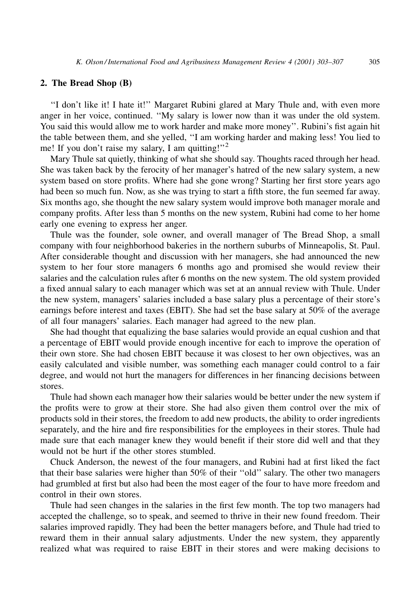#### 2. The Bread Shop (B)

"I don't like it! I hate it!" Margaret Rubini glared at Mary Thule and, with even more anger in her voice, continued. "My salary is lower now than it was under the old system. You said this would allow me to work harder and make more money". Rubini's fist again hit the table between them, and she yelled, "I am working harder and making less! You lied to me! If you don't raise my salary, I am quitting!"<sup>2</sup>

Mary Thule sat quietly, thinking of what she should say. Thoughts raced through her head. She was taken back by the ferocity of her manager's hatred of the new salary system, a new system based on store profits. Where had she gone wrong? Starting her first store years ago had been so much fun. Now, as she was trying to start a fifth store, the fun seemed far away. Six months ago, she thought the new salary system would improve both manager morale and company profits. After less than 5 months on the new system, Rubini had come to her home early one evening to express her anger.

Thule was the founder, sole owner, and overall manager of The Bread Shop, a small company with four neighborhood bakeries in the northern suburbs of Minneapolis, St. Paul. After considerable thought and discussion with her managers, she had announced the new system to her four store managers 6 months ago and promised she would review their salaries and the calculation rules after 6 months on the new system. The old system provided a fixed annual salary to each manager which was set at an annual review with Thule. Under the new system, managers' salaries included a base salary plus a percentage of their store's earnings before interest and taxes (EBIT). She had set the base salary at 50% of the average of all four managers' salaries. Each manager had agreed to the new plan.

She had thought that equalizing the base salaries would provide an equal cushion and that a percentage of EBIT would provide enough incentive for each to improve the operation of their own store. She had chosen EBIT because it was closest to her own objectives, was an easily calculated and visible number, was something each manager could control to a fair degree, and would not hurt the managers for differences in her financing decisions between stores.

Thule had shown each manager how their salaries would be better under the new system if the profits were to grow at their store. She had also given them control over the mix of products sold in their stores, the freedom to add new products, the ability to order ingredients separately, and the hire and fire responsibilities for the employees in their stores. Thule had made sure that each manager knew they would benefit if their store did well and that they would not be hurt if the other stores stumbled.

Chuck Anderson, the newest of the four managers, and Rubini had at first liked the fact that their base salaries were higher than 50% of their "old" salary. The other two managers had grumbled at first but also had been the most eager of the four to have more freedom and control in their own stores.

Thule had seen changes in the salaries in the first few month. The top two managers had accepted the challenge, so to speak, and seemed to thrive in their new found freedom. Their salaries improved rapidly. They had been the better managers before, and Thule had tried to reward them in their annual salary adjustments. Under the new system, they apparently realized what was required to raise EBIT in their stores and were making decisions to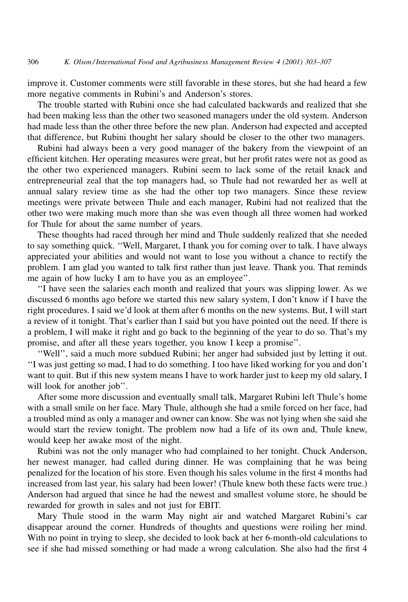306 K. Olson/International Food and Agribusiness Management Review 4 (2001) 303-307

improve it. Customer comments were still favorable in these stores, but she had heard a few more negative comments in Rubini's and Anderson's stores.

The trouble started with Rubini once she had calculated backwards and realized that she had been making less than the other two seasoned managers under the old system. Anderson had made less than the other three before the new plan. Anderson had expected and accepted that difference, but Rubini thought her salary should be closer to the other two managers.

Rubini had always been a very good manager of the bakery from the viewpoint of an efficient kitchen. Her operating measures were great, but her profit rates were not as good as the other two experienced managers. Rubini seem to lack some of the retail knack and entrepreneurial zeal that the top managers had, so Thule had not rewarded her as well at annual salary review time as she had the other top two managers. Since these review meetings were private between Thule and each manager, Rubini had not realized that the other two were making much more than she was even though all three women had worked for Thule for about the same number of years.

These thoughts had raced through her mind and Thule suddenly realized that she needed to say something quick. "Well, Margaret, I thank you for coming over to talk. I have always appreciated your abilities and would not want to lose you without a chance to rectify the problem. I am glad you wanted to talk first rather than just leave. Thank you. That reminds me again of how lucky I am to have you as an employee".

"I have seen the salaries each month and realized that yours was slipping lower. As we discussed 6 months ago before we started this new salary system, I don't know if I have the right procedures. I said we'd look at them after 6 months on the new systems. But, I will start a review of it tonight. That's earlier than I said but you have pointed out the need. If there is a problem, I will make it right and go back to the beginning of the year to do so. That's my promise, and after all these years together, you know I keep a promise".

"Well", said a much more subdued Rubini; her anger had subsided just by letting it out. "I was just getting so mad, I had to do something. I too have liked working for you and don't want to quit. But if this new system means I have to work harder just to keep my old salary, I will look for another job".

After some more discussion and eventually small talk, Margaret Rubini left Thule's home with a small smile on her face. Mary Thule, although she had a smile forced on her face, had a troubled mind as only a manager and owner can know. She was not lying when she said she would start the review tonight. The problem now had a life of its own and, Thule knew, would keep her awake most of the night.

Rubini was not the only manager who had complained to her tonight. Chuck Anderson, her newest manager, had called during dinner. He was complaining that he was being penalized for the location of his store. Even though his sales volume in the first 4 months had increased from last year, his salary had been lower! (Thule knew both these facts were true.) Anderson had argued that since he had the newest and smallest volume store, he should be rewarded for growth in sales and not just for EBIT.

Mary Thule stood in the warm May night air and watched Margaret Rubini's car disappear around the corner. Hundreds of thoughts and questions were roiling her mind. With no point in trying to sleep, she decided to look back at her 6-month-old calculations to see if she had missed something or had made a wrong calculation. She also had the first 4